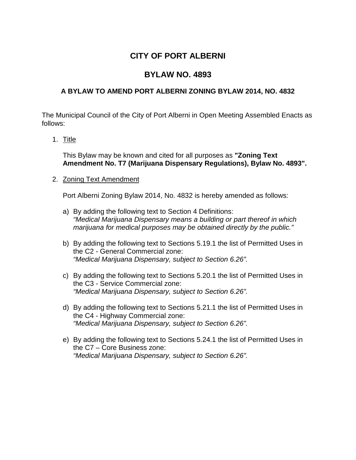# **CITY OF PORT ALBERNI**

## **BYLAW NO. 4893**

## **A BYLAW TO AMEND PORT ALBERNI ZONING BYLAW 2014, NO. 4832**

The Municipal Council of the City of Port Alberni in Open Meeting Assembled Enacts as follows:

### 1. Title

This Bylaw may be known and cited for all purposes as **"Zoning Text Amendment No. T7 (Marijuana Dispensary Regulations), Bylaw No. 4893".**

#### 2. Zoning Text Amendment

Port Alberni Zoning Bylaw 2014, No. 4832 is hereby amended as follows:

- a) By adding the following text to Section 4 Definitions: *"Medical Marijuana Dispensary means a building or part thereof in which marijuana for medical purposes may be obtained directly by the public."*
- b) By adding the following text to Sections 5.19.1 the list of Permitted Uses in the C2 - General Commercial zone: *"Medical Marijuana Dispensary, subject to Section 6.26".*
- c) By adding the following text to Sections 5.20.1 the list of Permitted Uses in the C3 - Service Commercial zone: *"Medical Marijuana Dispensary, subject to Section 6.26".*
- d) By adding the following text to Sections 5.21.1 the list of Permitted Uses in the C4 - Highway Commercial zone: *"Medical Marijuana Dispensary, subject to Section 6.26".*
- e) By adding the following text to Sections 5.24.1 the list of Permitted Uses in the C7 – Core Business zone: *"Medical Marijuana Dispensary, subject to Section 6.26".*